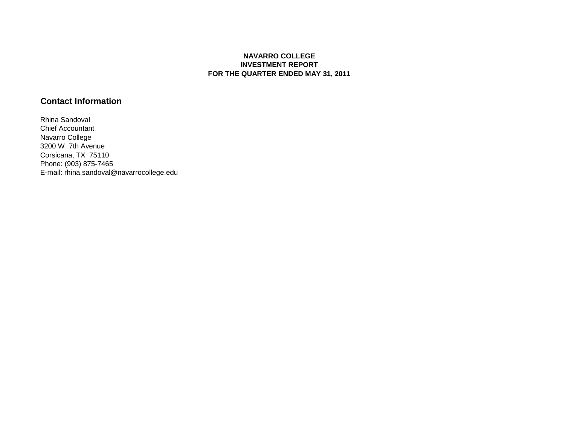## **NAVARRO COLLEGE INVESTMENT REPORT FOR THE QUARTER ENDED MAY 31, 2011**

# **Contact Information**

Rhina Sandoval Chief Accountant Navarro College 3200 W. 7th Avenue Corsicana, TX 75110 Phone: (903) 875-7465 E-mail: rhina.sandoval@navarrocollege.edu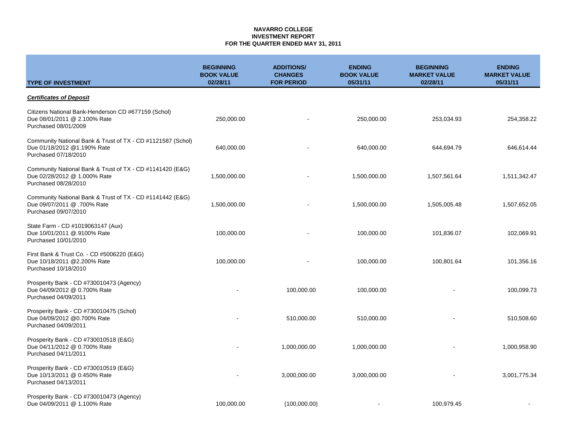### **NAVARRO COLLEGE INVESTMENT REPORT FOR THE QUARTER ENDED MAY 31, 2011**

| <b>TYPE OF INVESTMENT</b>                                                                                          | <b>BEGINNING</b><br><b>BOOK VALUE</b><br>02/28/11 | <b>ADDITIONS/</b><br><b>CHANGES</b><br><b>FOR PERIOD</b> | <b>ENDING</b><br><b>BOOK VALUE</b><br>05/31/11 | <b>BEGINNING</b><br><b>MARKET VALUE</b><br>02/28/11 | <b>ENDING</b><br><b>MARKET VALUE</b><br>05/31/11 |  |
|--------------------------------------------------------------------------------------------------------------------|---------------------------------------------------|----------------------------------------------------------|------------------------------------------------|-----------------------------------------------------|--------------------------------------------------|--|
| <b>Certificates of Deposit</b>                                                                                     |                                                   |                                                          |                                                |                                                     |                                                  |  |
| Citizens National Bank-Henderson CD #677159 (Schol)<br>Due 08/01/2011 @ 2.100% Rate<br>Purchased 08/01/2009        | 250,000.00                                        |                                                          | 250,000.00                                     | 253,034.93                                          | 254,358.22                                       |  |
| Community National Bank & Trust of TX - CD #1121587 (Schol)<br>Due 01/18/2012 @1.190% Rate<br>Purchased 07/18/2010 | 640,000.00                                        |                                                          | 640,000.00                                     | 644,694.79                                          | 646,614.44                                       |  |
| Community National Bank & Trust of TX - CD #1141420 (E&G)<br>Due 02/28/2012 @ 1.000% Rate<br>Purchased 08/28/2010  | 1,500,000.00                                      |                                                          | 1,500,000.00                                   | 1,507,561.64                                        | 1,511,342.47                                     |  |
| Community National Bank & Trust of TX - CD #1141442 (E&G)<br>Due 09/07/2011 @ .700% Rate<br>Purchased 09/07/2010   | 1,500,000.00                                      |                                                          | 1,500,000.00                                   | 1,505,005.48                                        | 1,507,652.05                                     |  |
| State Farm - CD #1019063147 (Aux)<br>Due 10/01/2011 @.9100% Rate<br>Purchased 10/01/2010                           | 100,000.00                                        |                                                          | 100,000.00                                     | 101,836.07                                          | 102,069.91                                       |  |
| First Bank & Trust Co. - CD #5006220 (E&G)<br>Due 10/18/2011 @2.200% Rate<br>Purchased 10/18/2010                  | 100,000.00                                        |                                                          | 100,000.00                                     | 100,801.64                                          | 101,356.16                                       |  |
| Prosperity Bank - CD #730010473 (Agency)<br>Due 04/09/2012 @ 0.700% Rate<br>Purchased 04/09/2011                   |                                                   | 100,000.00                                               | 100,000.00                                     |                                                     | 100,099.73                                       |  |
| Prosperity Bank - CD #730010475 (Schol)<br>Due 04/09/2012 @0.700% Rate<br>Purchased 04/09/2011                     |                                                   | 510,000.00                                               | 510,000.00                                     |                                                     | 510,508.60                                       |  |
| Prosperity Bank - CD #730010518 (E&G)<br>Due 04/11/2012 @ 0.700% Rate<br>Purchased 04/11/2011                      |                                                   | 1,000,000.00                                             | 1,000,000.00                                   |                                                     | 1,000,958.90                                     |  |
| Prosperity Bank - CD #730010519 (E&G)<br>Due 10/13/2011 @ 0.450% Rate<br>Purchased 04/13/2011                      |                                                   | 3,000,000.00                                             | 3,000,000.00                                   |                                                     | 3,001,775.34                                     |  |
| Prosperity Bank - CD #730010473 (Agency)<br>Due 04/09/2011 @ 1.100% Rate                                           | 100,000.00                                        | (100,000.00)                                             |                                                | 100,979.45                                          |                                                  |  |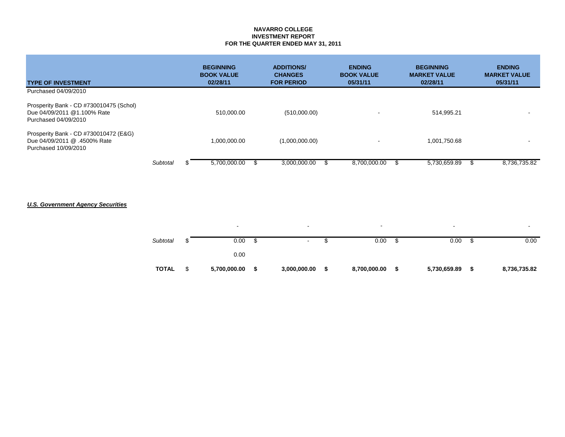### **NAVARRO COLLEGE INVESTMENT REPORT FOR THE QUARTER ENDED MAY 31, 2011**

| <b>TYPE OF INVESTMENT</b>                                                                      |          | <b>BEGINNING</b><br><b>BOOK VALUE</b><br>02/28/11 | <b>ADDITIONS/</b><br><b>CHANGES</b><br><b>FOR PERIOD</b> | <b>ENDING</b><br><b>BOOK VALUE</b><br>05/31/11 | <b>BEGINNING</b><br><b>MARKET VALUE</b><br>02/28/11 | <b>ENDING</b><br><b>MARKET VALUE</b><br>05/31/11 |
|------------------------------------------------------------------------------------------------|----------|---------------------------------------------------|----------------------------------------------------------|------------------------------------------------|-----------------------------------------------------|--------------------------------------------------|
| Purchased 04/09/2010                                                                           |          |                                                   |                                                          |                                                |                                                     |                                                  |
| Prosperity Bank - CD #730010475 (Schol)<br>Due 04/09/2011 @1.100% Rate<br>Purchased 04/09/2010 |          | 510,000.00                                        | (510,000.00)                                             | $\overline{\phantom{0}}$                       | 514.995.21                                          | $\sim$                                           |
| Prosperity Bank - CD #730010472 (E&G)<br>Due 04/09/2011 @ .4500% Rate<br>Purchased 10/09/2010  |          | 1,000,000.00                                      | (1,000,000.00)                                           | $\overline{\phantom{0}}$                       | 1,001,750.68                                        |                                                  |
|                                                                                                | Subtotal | 5,700,000.00                                      | 3,000,000.00                                             | 8,700,000.00                                   | 5,730,659.89                                        | 8.736.735.82                                     |

## *U.S. Government Agency Securities*

| Subtotal     | 0.00         | $\blacksquare$ | 0.00         | 0.00         | ง    | 0.00         |
|--------------|--------------|----------------|--------------|--------------|------|--------------|
|              | 0.00         |                |              |              |      |              |
| <b>TOTAL</b> | 5,700,000.00 | 3,000,000.00   | 8,700,000.00 | 5,730,659.89 | - 56 | 8,736,735.82 |

- - - - -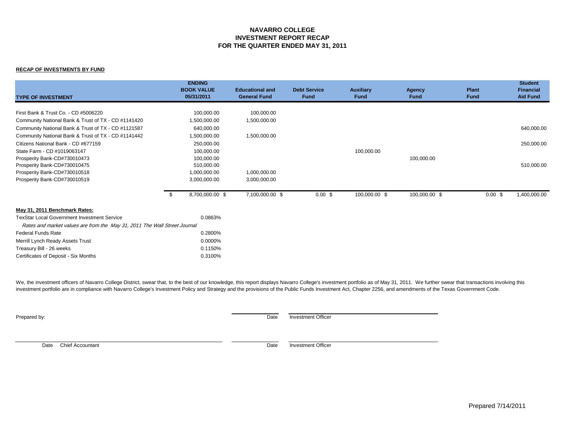### **NAVARRO COLLEGE INVESTMENT REPORT RECAP FOR THE QUARTER ENDED MAY 31, 2011**

#### **RECAP OF INVESTMENTS BY FUND**

| <b>TYPE OF INVESTMENT</b>                                                 |     | <b>ENDING</b><br><b>BOOK VALUE</b><br>05/31/2011 | <b>Educational and</b><br><b>General Fund</b> | <b>Debt Service</b><br><b>Fund</b> | <b>Auxiliary</b><br><b>Fund</b> | Agency<br><b>Fund</b> | <b>Plant</b><br><b>Fund</b> | <b>Student</b><br><b>Financial</b><br><b>Aid Fund</b> |
|---------------------------------------------------------------------------|-----|--------------------------------------------------|-----------------------------------------------|------------------------------------|---------------------------------|-----------------------|-----------------------------|-------------------------------------------------------|
|                                                                           |     |                                                  |                                               |                                    |                                 |                       |                             |                                                       |
| First Bank & Trust Co. - CD #5006220                                      |     | 100,000.00                                       | 100,000.00                                    |                                    |                                 |                       |                             |                                                       |
| Community National Bank & Trust of TX - CD #1141420                       |     | 1,500,000.00                                     | 1,500,000.00                                  |                                    |                                 |                       |                             |                                                       |
| Community National Bank & Trust of TX - CD #1121587                       |     | 640,000.00                                       |                                               |                                    |                                 |                       |                             | 640,000.00                                            |
| Community National Bank & Trust of TX - CD #1141442                       |     | 1,500,000.00                                     | 1,500,000.00                                  |                                    |                                 |                       |                             |                                                       |
| Citizens National Bank - CD #677159                                       |     | 250,000.00                                       |                                               |                                    |                                 |                       |                             | 250,000.00                                            |
| State Farm - CD #1019063147                                               |     | 100,000.00                                       |                                               |                                    | 100,000.00                      |                       |                             |                                                       |
| Prosperity Bank-CD#730010473                                              |     | 100,000.00                                       |                                               |                                    |                                 | 100,000.00            |                             |                                                       |
| Prosperity Bank-CD#730010475                                              |     | 510,000.00                                       |                                               |                                    |                                 |                       |                             | 510,000.00                                            |
| Prosperity Bank-CD#730010518                                              |     | 1,000,000.00                                     | 1,000,000.00                                  |                                    |                                 |                       |                             |                                                       |
| Prosperity Bank-CD#730010519                                              |     | 3,000,000.00                                     | 3,000,000.00                                  |                                    |                                 |                       |                             |                                                       |
|                                                                           | -\$ | 8,700,000.00 \$                                  | 7,100,000.00 \$                               | $0.00$ \$                          | 100,000.00 \$                   | 100,000.00 \$         | 0.00~\$                     | 1,400,000.00                                          |
| May 31, 2011 Benchmark Rates:                                             |     |                                                  |                                               |                                    |                                 |                       |                             |                                                       |
| <b>TexStar Local Government Investment Service</b>                        |     | 0.0863%                                          |                                               |                                    |                                 |                       |                             |                                                       |
| Rates and market values are from the May 31, 2011 The Wall Street Journal |     |                                                  |                                               |                                    |                                 |                       |                             |                                                       |
| <b>Federal Funds Rate</b>                                                 |     | 0.2800%                                          |                                               |                                    |                                 |                       |                             |                                                       |
| Merrill Lynch Ready Assets Trust                                          |     | 0.0000%                                          |                                               |                                    |                                 |                       |                             |                                                       |
| Treasury Bill - 26 weeks                                                  |     | 0.1150%                                          |                                               |                                    |                                 |                       |                             |                                                       |
| Certificates of Deposit - Six Months                                      |     | 0.3100%                                          |                                               |                                    |                                 |                       |                             |                                                       |

We, the investment officers of Navarro College District, swear that, to the best of our knowledge, this report displays Navarro College's investment portfolio as of May 31, 2011. We further swear that transactions involvin investment portfolio are in compliance with Navarro College's Investment Policy and Strategy and the provisions of the Public Funds Investment Act, Chapter 2256, and amendments of the Texas Government Code.

**Prepared by:** Date Investment Officer

Date Chief Accountant **Date** Investment Officer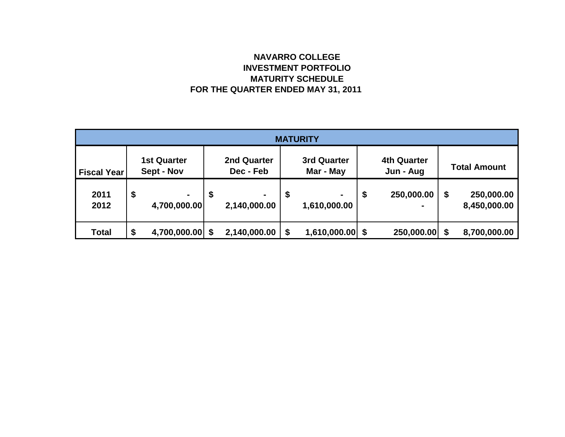# **NAVARRO COLLEGE INVESTMENT PORTFOLIO MATURITY SCHEDULE FOR THE QUARTER ENDED MAY 31, 2011**

| <b>MATURITY</b>    |                                  |                                |                          |                                |                                 |                                |    |                                 |    |                            |  |
|--------------------|----------------------------------|--------------------------------|--------------------------|--------------------------------|---------------------------------|--------------------------------|----|---------------------------------|----|----------------------------|--|
| <b>Fiscal Year</b> | <b>1st Quarter</b><br>Sept - Nov |                                | 2nd Quarter<br>Dec - Feb |                                | <b>3rd Quarter</b><br>Mar - May |                                |    | <b>4th Quarter</b><br>Jun - Aug |    | <b>Total Amount</b>        |  |
| 2011<br>2012       | \$                               | $\blacksquare$<br>4,700,000.00 | \$                       | $\blacksquare$<br>2,140,000.00 | \$                              | $\blacksquare$<br>1,610,000.00 | \$ | 250,000.00                      | \$ | 250,000.00<br>8,450,000.00 |  |
| <b>Total</b>       | \$                               | 4,700,000.00                   |                          | 2,140,000.00                   | \$                              | $1,610,000.00$ \$              |    | 250,000.00 \$                   |    | 8,700,000.00               |  |